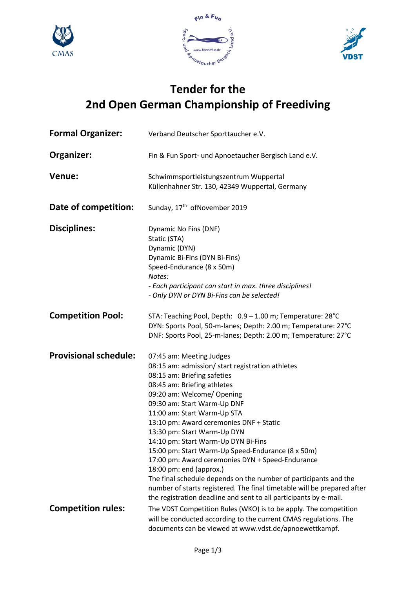







## **Tender for the 2nd Open German Championship of Freediving**

| <b>Formal Organizer:</b>     | Verband Deutscher Sporttaucher e.V.                                                                                                                                                                                                                                                                                                                                                                                                                                                                                                                                                                                                                                                                             |
|------------------------------|-----------------------------------------------------------------------------------------------------------------------------------------------------------------------------------------------------------------------------------------------------------------------------------------------------------------------------------------------------------------------------------------------------------------------------------------------------------------------------------------------------------------------------------------------------------------------------------------------------------------------------------------------------------------------------------------------------------------|
| Organizer:                   | Fin & Fun Sport- und Apnoetaucher Bergisch Land e.V.                                                                                                                                                                                                                                                                                                                                                                                                                                                                                                                                                                                                                                                            |
| Venue:                       | Schwimmsportleistungszentrum Wuppertal<br>Küllenhahner Str. 130, 42349 Wuppertal, Germany                                                                                                                                                                                                                                                                                                                                                                                                                                                                                                                                                                                                                       |
| Date of competition:         | Sunday, 17 <sup>th</sup> ofNovember 2019                                                                                                                                                                                                                                                                                                                                                                                                                                                                                                                                                                                                                                                                        |
| <b>Disciplines:</b>          | Dynamic No Fins (DNF)<br>Static (STA)<br>Dynamic (DYN)<br>Dynamic Bi-Fins (DYN Bi-Fins)<br>Speed-Endurance (8 x 50m)<br>Notes:<br>- Each participant can start in max. three disciplines!<br>- Only DYN or DYN Bi-Fins can be selected!                                                                                                                                                                                                                                                                                                                                                                                                                                                                         |
| <b>Competition Pool:</b>     | STA: Teaching Pool, Depth: 0.9 - 1.00 m; Temperature: 28°C<br>DYN: Sports Pool, 50-m-lanes; Depth: 2.00 m; Temperature: 27°C<br>DNF: Sports Pool, 25-m-lanes; Depth: 2.00 m; Temperature: 27°C                                                                                                                                                                                                                                                                                                                                                                                                                                                                                                                  |
| <b>Provisional schedule:</b> | 07:45 am: Meeting Judges<br>08:15 am: admission/ start registration athletes<br>08:15 am: Briefing safeties<br>08:45 am: Briefing athletes<br>09:20 am: Welcome/ Opening<br>09:30 am: Start Warm-Up DNF<br>11:00 am: Start Warm-Up STA<br>13:10 pm: Award ceremonies DNF + Static<br>13:30 pm: Start Warm-Up DYN<br>14:10 pm: Start Warm-Up DYN Bi-Fins<br>15:00 pm: Start Warm-Up Speed-Endurance (8 x 50m)<br>17:00 pm: Award ceremonies DYN + Speed-Endurance<br>18:00 pm: end (approx.)<br>The final schedule depends on the number of participants and the<br>number of starts registered. The final timetable will be prepared after<br>the registration deadline and sent to all participants by e-mail. |
| <b>Competition rules:</b>    | The VDST Competition Rules (WKO) is to be apply. The competition<br>will be conducted according to the current CMAS regulations. The<br>documents can be viewed at www.vdst.de/apnoewettkampf.                                                                                                                                                                                                                                                                                                                                                                                                                                                                                                                  |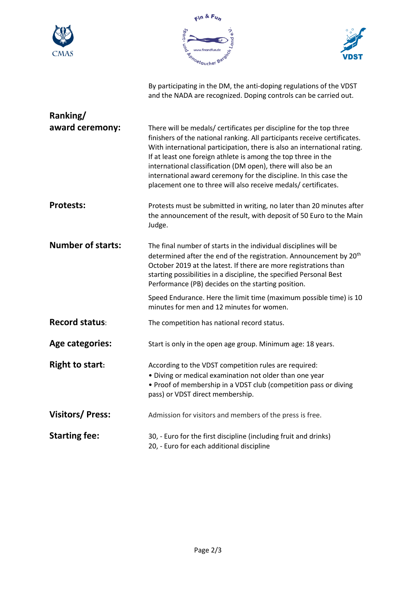





By participating in the DM, the anti-doping regulations of the VDST



and the NADA are recognized. Doping controls can be carried out. **Ranking/ award ceremony:** There will be medals/ certificates per discipline for the top three finishers of the national ranking. All participants receive certificates. With international participation, there is also an international rating. If at least one foreign athlete is among the top three in the international classification (DM open), there will also be an international award ceremony for the discipline. In this case the placement one to three will also receive medals/ certificates. **Protests:** Protests must be submitted in writing, no later than 20 minutes after the announcement of the result, with deposit of 50 Euro to the Main Judge. **Number of starts:** The final number of starts in the individual disciplines will be determined after the end of the registration. Announcement by 20<sup>th</sup> October 2019 at the latest. If there are more registrations than starting possibilities in a discipline, the specified Personal Best Performance (PB) decides on the starting position. Speed Endurance. Here the limit time (maximum possible time) is 10 minutes for men and 12 minutes for women. **Record status:** The competition has national record status. Age categories: Start is only in the open age group. Minimum age: 18 years. **Right to start:** According to the VDST competition rules are required: • Diving or medical examination not older than one year • Proof of membership in a VDST club (competition pass or diving pass) or VDST direct membership. **Visitors/ Press:** Admission for visitors and members of the press is free. **Starting fee:** 30, - Euro for the first discipline (including fruit and drinks) 20, - Euro for each additional discipline